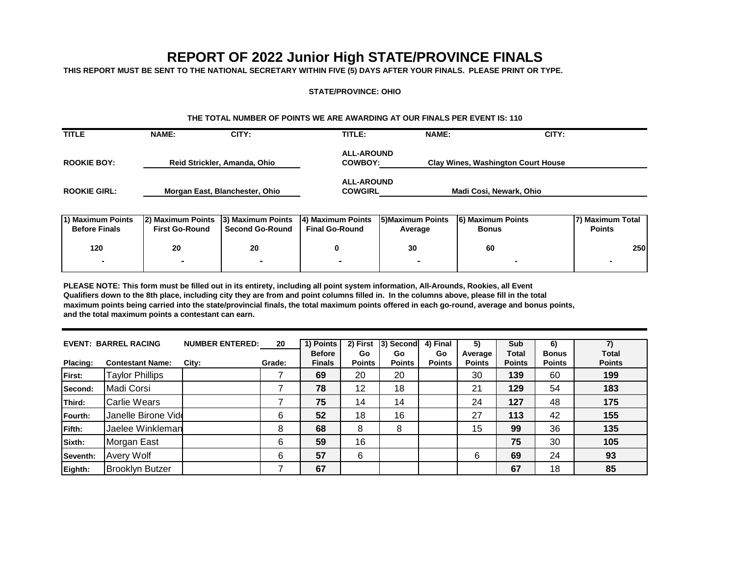# **REPORT OF 2022 Junior High STATE/PROVINCE FINALS**

**THIS REPORT MUST BE SENT TO THE NATIONAL SECRETARY WITHIN FIVE (5) DAYS AFTER YOUR FINALS. PLEASE PRINT OR TYPE.**

#### **STATE/PROVINCE: OHIO**

#### **THE TOTAL NUMBER OF POINTS WE ARE AWARDING AT OUR FINALS PER EVENT IS: 110**

| <b>TITLE</b>        | <b>NAME:</b>                   | CITY: | TITLE:                              | <b>NAME:</b>                              | CITY: |
|---------------------|--------------------------------|-------|-------------------------------------|-------------------------------------------|-------|
| <b>ROOKIE BOY:</b>  | Reid Strickler, Amanda, Ohio   |       | <b>ALL-AROUND</b><br><b>COWBOY:</b> | <b>Clay Wines, Washington Court House</b> |       |
| <b>ROOKIE GIRL:</b> | Morgan East, Blanchester, Ohio |       | <b>ALL-AROUND</b><br><b>COWGIRL</b> | Madi Cosi, Newark, Ohio                   |       |

| 1) Maximum Points<br><b>Before Finals</b> | 12) Maximum Points 13) Maximum Points<br><b>First Go-Round</b> | <b>Second Go-Round</b> | 4) Maximum Points<br><b>Final Go-Round</b> | 5) Maximum Points<br>Average | <b>6) Maximum Points</b><br><b>Bonus</b> | 17) Maximum Total<br><b>Points</b> |
|-------------------------------------------|----------------------------------------------------------------|------------------------|--------------------------------------------|------------------------------|------------------------------------------|------------------------------------|
| 120                                       | 20                                                             | 20                     |                                            | 30                           | 60                                       | <b>2501</b>                        |
|                                           |                                                                |                        |                                            |                              |                                          |                                    |

**PLEASE NOTE: This form must be filled out in its entirety, including all point system information, All-Arounds, Rookies, all Event Qualifiers down to the 8th place, including city they are from and point columns filled in. In the columns above, please fill in the total maximum points being carried into the state/provincial finals, the total maximum points offered in each go-round, average and bonus points, and the total maximum points a contestant can earn.**

|                 | <b>EVENT: BARREL RACING</b> | <b>NUMBER ENTERED:</b> | 20     | 1) Points<br><b>Before</b> | 2) First<br>Go | 3) Second<br>Go | 4) Final<br>Go | 5)<br>Average | <b>Sub</b><br><b>Total</b> | 6)<br><b>Bonus</b> | 7)<br><b>Total</b> |
|-----------------|-----------------------------|------------------------|--------|----------------------------|----------------|-----------------|----------------|---------------|----------------------------|--------------------|--------------------|
| <b>Placing:</b> | <b>Contestant Name:</b>     | City:                  | Grade: | <b>Finals</b>              | <b>Points</b>  | <b>Points</b>   | <b>Points</b>  | <b>Points</b> | <b>Points</b>              | <b>Points</b>      | <b>Points</b>      |
| First:          | <b>Taylor Phillips</b>      |                        |        | 69                         | 20             | 20              |                | 30            | 139                        | 60                 | 199                |
| Second:         | Madi Corsi                  |                        |        | 78                         | 12             | 18              |                | 21            | 129                        | 54                 | 183                |
| Third:          | <b>Carlie Wears</b>         |                        |        | 75                         | 14             | 14              |                | 24            | 127                        | 48                 | 175                |
| Fourth:         | Janelle Birone Vide         |                        | 6      | 52                         | 18             | 16              |                | 27            | 113                        | 42                 | 155                |
| <b>Fifth:</b>   | Jaelee Winkleman            |                        | 8      | 68                         | 8              | 8               |                | 15            | 99                         | 36                 | 135                |
| Sixth:          | Morgan East                 |                        | 6      | 59                         | 16             |                 |                |               | 75                         | 30                 | 105                |
| Seventh:        | <b>Avery Wolf</b>           |                        | 6      | 57                         | 6              |                 |                | 6             | 69                         | 24                 | 93                 |
| Eighth:         | <b>Brooklyn Butzer</b>      |                        |        | 67                         |                |                 |                |               | 67                         | 18                 | 85                 |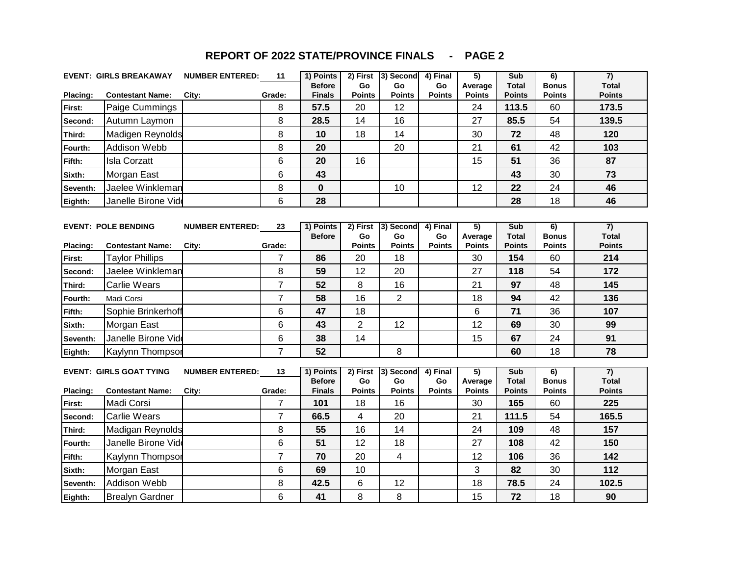|          | <b>EVENT: GIRLS BREAKAWAY</b>  | <b>NUMBER ENTERED: 11</b> |                | 1) Points                      |                     | 2) First 3) Second      | 4) Final            | $\overline{5)}$            | Sub                           | $\overline{6}$                 | $\overline{7}$                 |
|----------|--------------------------------|---------------------------|----------------|--------------------------------|---------------------|-------------------------|---------------------|----------------------------|-------------------------------|--------------------------------|--------------------------------|
| Placing: | <b>Contestant Name:</b>        | City:                     | Grade:         | <b>Before</b><br><b>Finals</b> | Go<br><b>Points</b> | Go<br><b>Points</b>     | Go<br><b>Points</b> | Average<br><b>Points</b>   | <b>Total</b><br><b>Points</b> | <b>Bonus</b><br><b>Points</b>  | <b>Total</b><br><b>Points</b>  |
| First:   | Paige Cummings                 |                           | 8              | 57.5                           | 20                  | 12                      |                     | 24                         | 113.5                         | 60                             | 173.5                          |
| Second:  | Autumn Laymon                  |                           | 8              | 28.5                           | 14                  | 16                      |                     | 27                         | 85.5                          | 54                             | 139.5                          |
| Third:   | Madigen Reynolds               |                           | 8              | 10                             | 18                  | 14                      |                     | 30                         | 72                            | 48                             | 120                            |
| Fourth:  | Addison Webb                   |                           | 8              | 20                             |                     | 20                      |                     | 21                         | 61                            | 42                             | 103                            |
| Fifth:   | <b>Isla Corzatt</b>            |                           | 6              | 20                             | 16                  |                         |                     | 15                         | 51                            | 36                             | 87                             |
| Sixth:   | Morgan East                    |                           | 6              | 43                             |                     |                         |                     |                            | 43                            | 30                             | 73                             |
| Seventh: | Jaelee Winkleman               |                           | 8              | 0                              |                     | 10                      |                     | 12                         | 22                            | 24                             | 46                             |
| Eighth:  | Janelle Birone Vide            |                           | 6              | 28                             |                     |                         |                     |                            | 28                            | 18                             | 46                             |
|          |                                |                           |                |                                |                     |                         |                     |                            |                               |                                |                                |
|          | <b>EVENT: POLE BENDING</b>     | <b>NUMBER ENTERED:</b>    | 23             | 1) Points                      | 2) First            | 3) Second               | 4) Final            | $\overline{5)}$            | Sub                           | $\overline{6}$                 | $\overline{7}$                 |
| Placing: | <b>Contestant Name:</b>        | City:                     | Grade:         | <b>Before</b>                  | Go<br><b>Points</b> | Go<br><b>Points</b>     | Go<br>Points        | Average<br><b>Points</b>   | <b>Total</b><br><b>Points</b> | <b>Bonus</b><br><b>Points</b>  | <b>Total</b><br><b>Points</b>  |
| First:   | <b>Taylor Phillips</b>         |                           | $\overline{7}$ | 86                             | 20                  | 18                      |                     | 30                         | 154                           | 60                             | 214                            |
| Second:  | Jaelee Winkleman               |                           | 8              | 59                             | 12                  | 20                      |                     | 27                         | 118                           | 54                             | 172                            |
| Third:   | <b>Carlie Wears</b>            |                           | $\overline{7}$ | 52                             | 8                   | 16                      |                     | 21                         | 97                            | 48                             | 145                            |
| Fourth:  | Madi Corsi                     |                           | $\overline{7}$ | 58                             | 16                  | $\overline{2}$          |                     | 18                         | 94                            | 42                             | 136                            |
| Fifth:   | Sophie Brinkerhoff             |                           | 6              | 47                             | 18                  |                         |                     | 6                          | 71                            | 36                             | 107                            |
| Sixth:   | Morgan East                    |                           | 6              | 43                             | $\overline{2}$      | 12                      |                     | 12                         | 69                            | 30                             | 99                             |
| Seventh: | Janelle Birone Vide            |                           | 6              | 38                             | 14                  |                         |                     | 15                         | 67                            | 24                             | 91                             |
| Eighth:  | Kaylynn Thompsor               |                           | $\overline{7}$ | 52                             |                     | 8                       |                     |                            | 60                            | 18                             | 78                             |
|          |                                |                           |                |                                |                     |                         |                     |                            |                               |                                |                                |
|          | <b>EVENT: GIRLS GOAT TYING</b> | <b>NUMBER ENTERED:</b>    | 13             | 1) Points<br><b>Before</b>     | 2) First<br>Go      | 3) Second<br>Go         | 4) Final<br>Go      | $\overline{5)}$<br>Average | Sub<br><b>Total</b>           | $\overline{6}$<br><b>Bonus</b> | $\overline{7}$<br><b>Total</b> |
| Placing: | <b>Contestant Name:</b>        | City:                     | Grade:         | <b>Finals</b>                  | <b>Points</b>       | <b>Points</b>           | <b>Points</b>       | <b>Points</b>              | <b>Points</b>                 | <b>Points</b>                  | <b>Points</b>                  |
| First:   | Madi Corsi                     |                           | $\overline{7}$ | 101                            | 18                  | 16                      |                     | 30                         | 165                           | 60                             | 225                            |
| Second:  | <b>Carlie Wears</b>            |                           | $\overline{7}$ | 66.5                           | $\overline{4}$      | 20                      |                     | 21                         | 111.5                         | 54                             | 165.5                          |
| Third:   | Madigan Reynolds               |                           | 8              | 55                             | 16                  | 14                      |                     | 24                         | 109                           | 48                             | 157                            |
| Fourth:  | Janelle Birone Vide            |                           | 6              | 51                             | 12                  | 18                      |                     | 27                         | 108                           | 42                             | 150                            |
| Fifth:   | Kaylynn Thompsor               |                           | $\overline{7}$ | 70                             | 20                  | $\overline{\mathbf{4}}$ |                     | 12                         | 106                           | 36                             | 142                            |
| Sixth:   | Morgan East                    |                           | 6              | 69                             | 10                  |                         |                     | 3                          | 82                            | 30                             | 112                            |
| Seventh: | Addison Webb                   |                           | 8              | 42.5                           | 6                   | 12                      |                     | 18                         | 78.5                          | 24                             | 102.5                          |
| Eighth:  | <b>Brealyn Gardner</b>         |                           | 6              | 41                             | 8                   | 8                       |                     | 15                         | 72                            | 18                             | 90                             |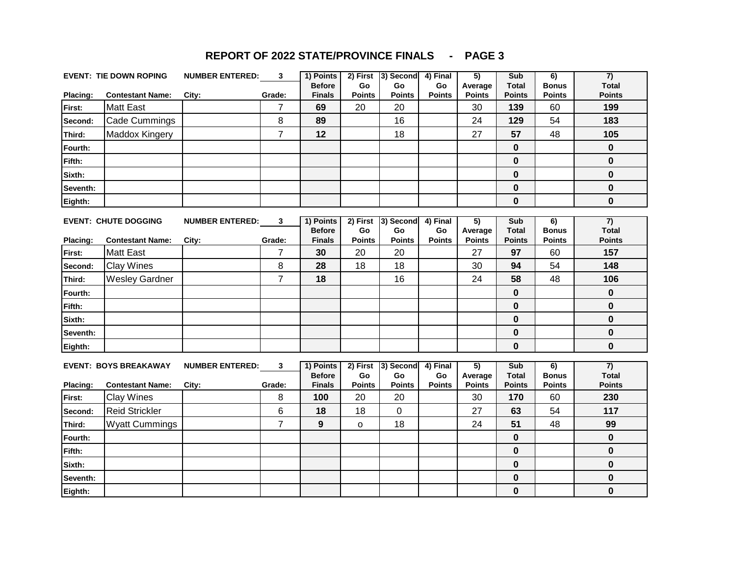|                 | <b>EVENT: TIE DOWN ROPING</b> | <b>NUMBER ENTERED:</b> | 3      | 1) Points                      | 2) First              | 3) Second                  | 4) Final            | 5)                       | Sub                    | 6)                            | 7)                            |
|-----------------|-------------------------------|------------------------|--------|--------------------------------|-----------------------|----------------------------|---------------------|--------------------------|------------------------|-------------------------------|-------------------------------|
| Placing:        | <b>Contestant Name:</b>       | City:                  | Grade: | <b>Before</b><br><b>Finals</b> | <b>Go</b><br>Points   | <b>Go</b><br><b>Points</b> | Go<br><b>Points</b> | Average<br><b>Points</b> | Total<br><b>Points</b> | <b>Bonus</b><br><b>Points</b> | <b>Total</b><br><b>Points</b> |
| First:          | <b>Matt East</b>              |                        |        | 69                             | 20                    | 20                         |                     | 30                       | 139                    | 60                            | 199                           |
| Second:         | Cade Cummings                 |                        | 8      | 89                             |                       | 16                         |                     | 24                       | 129                    | 54                            | 183                           |
| Third:          | Maddox Kingery                |                        | 7      | 12                             |                       | 18                         |                     | 27                       | 57                     | 48                            | 105                           |
| Fourth:         |                               |                        |        |                                |                       |                            |                     |                          | 0                      |                               | $\bf{0}$                      |
| Fifth:          |                               |                        |        |                                |                       |                            |                     |                          | 0                      |                               | 0                             |
| Sixth:          |                               |                        |        |                                |                       |                            |                     |                          | $\bf{0}$               |                               | $\bf{0}$                      |
| Seventh:        |                               |                        |        |                                |                       |                            |                     |                          | 0                      |                               | 0                             |
| Eighth:         |                               |                        |        |                                |                       |                            |                     |                          | $\pmb{0}$              |                               | 0                             |
|                 | <b>EVENT: CHUTE DOGGING</b>   | <b>NUMBER ENTERED:</b> | 3      | 1) Points<br><b>Before</b>     | 2) First<br><b>Go</b> | 3) Second<br>Go.           | 4) Final<br>Go      | 5)<br>Average            | Sub<br>Total           | 6)<br><b>Bonus</b>            | 7)<br><b>Total</b>            |
| <b>Placing:</b> | <b>Contestant Name:</b>       | City:                  | Grade: | <b>Finals</b>                  | <b>Points</b>         | <b>Points</b>              | <b>Points</b>       | <b>Points</b>            | <b>Points</b>          | <b>Points</b>                 | <b>Points</b>                 |
| First:          | <b>Matt East</b>              |                        | 7      | 30                             | 20                    | 20                         |                     | 27                       | 97                     | 60                            | 157                           |
| Second:         | <b>Clay Wines</b>             |                        | 8      | 28                             | 18                    | 18                         |                     | 30                       | 94                     | 54                            | 148                           |

**Third:** 7 **18** 16 24 **58** 48 **106** Wesley Gardner **Fourth: 0 0 Fifth: 0 0 Sixth: 0 0 Seventh: 0 0 Eighth: 0 0**

|                 | <b>EVENT: BOYS BREAKAWAY</b> | <b>NUMBER ENTERED:</b> | 3      | 1) Points                      | 2) First                   | 3) Second           | 4) Final            | 5)                       | Sub                           | 6)                            | 7)                            |
|-----------------|------------------------------|------------------------|--------|--------------------------------|----------------------------|---------------------|---------------------|--------------------------|-------------------------------|-------------------------------|-------------------------------|
| <b>Placing:</b> | <b>Contestant Name:</b>      | City:                  | Grade: | <b>Before</b><br><b>Finals</b> | <b>Go</b><br><b>Points</b> | Go<br><b>Points</b> | Go<br><b>Points</b> | Average<br><b>Points</b> | <b>Total</b><br><b>Points</b> | <b>Bonus</b><br><b>Points</b> | <b>Total</b><br><b>Points</b> |
| First:          | <b>Clay Wines</b>            |                        | 8      | 100                            | 20                         | 20                  |                     | 30                       | 170                           | 60                            | 230                           |
| Second:         | <b>Reid Strickler</b>        |                        | 6      | 18                             | 18                         | 0                   |                     | 27                       | 63                            | 54                            | 117                           |
| Third:          | <b>Wyatt Cummings</b>        |                        |        | 9                              | o                          | 18                  |                     | 24                       | 51                            | 48                            | 99                            |
| <b>Fourth:</b>  |                              |                        |        |                                |                            |                     |                     |                          | 0                             |                               | 0                             |
| <b>Fifth:</b>   |                              |                        |        |                                |                            |                     |                     |                          | 0                             |                               | 0                             |
| Sixth:          |                              |                        |        |                                |                            |                     |                     |                          | 0                             |                               | 0                             |
| Seventh:        |                              |                        |        |                                |                            |                     |                     |                          | 0                             |                               | O                             |
| Eighth:         |                              |                        |        |                                |                            |                     |                     |                          | 0                             |                               | 0                             |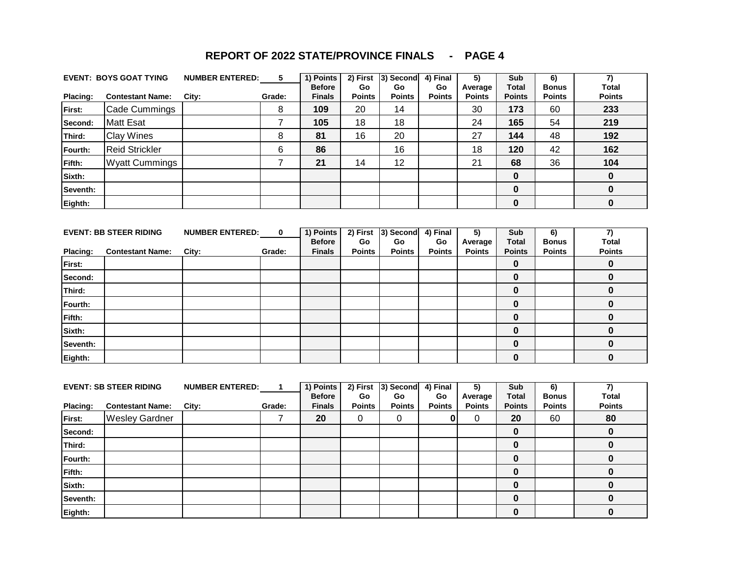| <b>REPORT OF 2022 STATE/PROVINCE FINALS</b> |  | <b>PAGE 4</b> |
|---------------------------------------------|--|---------------|
|---------------------------------------------|--|---------------|

|          | <b>EVENT: BOYS GOAT TYING</b> | <b>NUMBER ENTERED:</b> | 5      | 1) Points<br><b>Before</b> | 2) First<br>Go | 3) Second<br>Go | 4) Final<br>Go | 5)<br>Average | Sub<br><b>Total</b> | 6)<br><b>Bonus</b> | <b>Total</b>  |
|----------|-------------------------------|------------------------|--------|----------------------------|----------------|-----------------|----------------|---------------|---------------------|--------------------|---------------|
| Placing: | <b>Contestant Name:</b>       | City:                  | Grade: | <b>Finals</b>              | <b>Points</b>  | <b>Points</b>   | <b>Points</b>  | <b>Points</b> | <b>Points</b>       | <b>Points</b>      | <b>Points</b> |
| First:   | Cade Cummings                 |                        | 8      | 109                        | 20             | 14              |                | 30            | 173                 | 60                 | 233           |
| Second:  | <b>Matt Esat</b>              |                        |        | 105                        | 18             | 18              |                | 24            | 165                 | 54                 | 219           |
| Third:   | <b>Clay Wines</b>             |                        | 8      | 81                         | 16             | 20              |                | 27            | 144                 | 48                 | 192           |
| Fourth:  | <b>Reid Strickler</b>         |                        | 6      | 86                         |                | 16              |                | 18            | 120                 | 42                 | 162           |
| Fifth:   | <b>Wyatt Cummings</b>         |                        |        | 21                         | 14             | 12              |                | 21            | 68                  | 36                 | 104           |
| Sixth:   |                               |                        |        |                            |                |                 |                |               | 0                   |                    | 0             |
| Seventh: |                               |                        |        |                            |                |                 |                |               | 0                   |                    | 0             |
| Eighth:  |                               |                        |        |                            |                |                 |                |               | 0                   |                    | 0             |

|               | <b>EVENT: BB STEER RIDING</b> | <b>NUMBER ENTERED:</b> | 0      | 1) Points     |               | 2) First 3) Second | 4) Final      | 5)            | <b>Sub</b>    | 6)            |               |
|---------------|-------------------------------|------------------------|--------|---------------|---------------|--------------------|---------------|---------------|---------------|---------------|---------------|
|               |                               |                        |        | <b>Before</b> | <b>Go</b>     | Go                 | Go            | Average       | <b>Total</b>  | <b>Bonus</b>  | <b>Total</b>  |
| Placing:      | <b>Contestant Name:</b>       | City:                  | Grade: | <b>Finals</b> | <b>Points</b> | <b>Points</b>      | <b>Points</b> | <b>Points</b> | <b>Points</b> | <b>Points</b> | <b>Points</b> |
| First:        |                               |                        |        |               |               |                    |               |               | 0             |               |               |
| Second:       |                               |                        |        |               |               |                    |               |               | 0             |               |               |
| Third:        |                               |                        |        |               |               |                    |               |               | 0             |               |               |
| Fourth:       |                               |                        |        |               |               |                    |               |               | 0             |               |               |
| <b>Fifth:</b> |                               |                        |        |               |               |                    |               |               | 0             |               |               |
| Sixth:        |                               |                        |        |               |               |                    |               |               | 0             |               |               |
| Seventh:      |                               |                        |        |               |               |                    |               |               | 0             |               |               |
| Eighth:       |                               |                        |        |               |               |                    |               |               | 0             |               |               |

|               | <b>EVENT: SB STEER RIDING</b> | <b>NUMBER ENTERED:</b> |        | 1) Points<br><b>Before</b> | 2) First<br><b>Go</b> | 3) Second<br>Go | 4) Final<br>Go | 5)<br>Average | Sub<br><b>Total</b> | 6)<br><b>Bonus</b> | <b>Total</b>  |
|---------------|-------------------------------|------------------------|--------|----------------------------|-----------------------|-----------------|----------------|---------------|---------------------|--------------------|---------------|
| Placing:      | <b>Contestant Name:</b>       | City:                  | Grade: | <b>Finals</b>              | <b>Points</b>         | <b>Points</b>   | <b>Points</b>  | <b>Points</b> | <b>Points</b>       | <b>Points</b>      | <b>Points</b> |
| First:        | <b>Wesley Gardner</b>         |                        |        | 20                         | 0                     | 0               |                |               | 20                  | 60                 | 80            |
| Second:       |                               |                        |        |                            |                       |                 |                |               | 0                   |                    |               |
| Third:        |                               |                        |        |                            |                       |                 |                |               | 0                   |                    |               |
| Fourth:       |                               |                        |        |                            |                       |                 |                |               | 0                   |                    |               |
| <b>Fifth:</b> |                               |                        |        |                            |                       |                 |                |               | 0                   |                    |               |
| Sixth:        |                               |                        |        |                            |                       |                 |                |               | 0                   |                    |               |
| Seventh:      |                               |                        |        |                            |                       |                 |                |               | $\bf{0}$            |                    |               |
| Eighth:       |                               |                        |        |                            |                       |                 |                |               | 0                   |                    |               |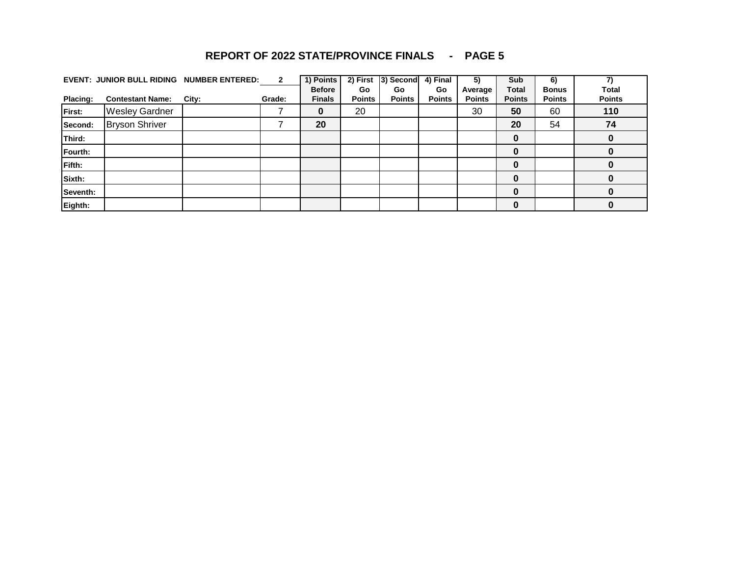|                 | <b>EVENT: JUNIOR BULL RIDING</b> | <b>NUMBER ENTERED:</b> | $\mathbf{2}$ | 1) Points<br><b>Before</b> | 2) First<br><b>Go</b> | 3) Second<br>Go | 4) Final<br>Go | 5)<br>Average | Sub<br><b>Total</b> | 6)<br><b>Bonus</b> | <b>Total</b>  |
|-----------------|----------------------------------|------------------------|--------------|----------------------------|-----------------------|-----------------|----------------|---------------|---------------------|--------------------|---------------|
| <b>Placing:</b> | <b>Contestant Name:</b>          | City:                  | Grade:       | <b>Finals</b>              | <b>Points</b>         | <b>Points</b>   | <b>Points</b>  | <b>Points</b> | <b>Points</b>       | <b>Points</b>      | <b>Points</b> |
| First:          | <b>Wesley Gardner</b>            |                        |              | 0                          | 20                    |                 |                | 30            | 50                  | 60                 | 110           |
| Second:         | <b>Bryson Shriver</b>            |                        |              | 20                         |                       |                 |                |               | 20                  | 54                 | 74            |
| Third:          |                                  |                        |              |                            |                       |                 |                |               | 0                   |                    |               |
| Fourth:         |                                  |                        |              |                            |                       |                 |                |               | 0                   |                    |               |
| Fifth:          |                                  |                        |              |                            |                       |                 |                |               | 0                   |                    |               |
| Sixth:          |                                  |                        |              |                            |                       |                 |                |               | 0                   |                    |               |
| Seventh:        |                                  |                        |              |                            |                       |                 |                |               | 0                   |                    |               |
| Eighth:         |                                  |                        |              |                            |                       |                 |                |               | 0                   |                    |               |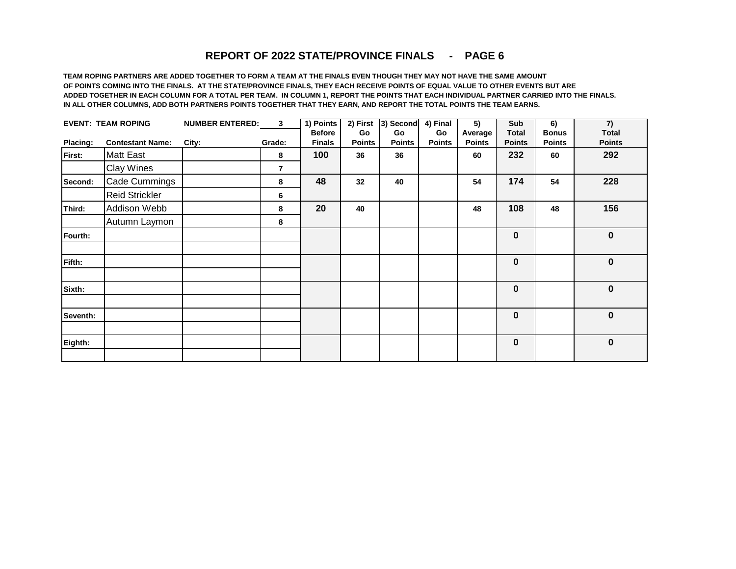**TEAM ROPING PARTNERS ARE ADDED TOGETHER TO FORM A TEAM AT THE FINALS EVEN THOUGH THEY MAY NOT HAVE THE SAME AMOUNT OF POINTS COMING INTO THE FINALS. AT THE STATE/PROVINCE FINALS, THEY EACH RECEIVE POINTS OF EQUAL VALUE TO OTHER EVENTS BUT ARE ADDED TOGETHER IN EACH COLUMN FOR A TOTAL PER TEAM. IN COLUMN 1, REPORT THE POINTS THAT EACH INDIVIDUAL PARTNER CARRIED INTO THE FINALS. IN ALL OTHER COLUMNS, ADD BOTH PARTNERS POINTS TOGETHER THAT THEY EARN, AND REPORT THE TOTAL POINTS THE TEAM EARNS.**

|          | <b>EVENT: TEAM ROPING</b> | <b>NUMBER ENTERED:</b> | $\mathbf{3}$ | 1) Points                      | 2) First            | 3) Second           | $4)$ Final          | $\overline{5)}$          | Sub                           | 6)                            | $\overline{7}$                |
|----------|---------------------------|------------------------|--------------|--------------------------------|---------------------|---------------------|---------------------|--------------------------|-------------------------------|-------------------------------|-------------------------------|
| Placing: | <b>Contestant Name:</b>   | City:                  | Grade:       | <b>Before</b><br><b>Finals</b> | Go<br><b>Points</b> | Go<br><b>Points</b> | Go<br><b>Points</b> | Average<br><b>Points</b> | <b>Total</b><br><b>Points</b> | <b>Bonus</b><br><b>Points</b> | <b>Total</b><br><b>Points</b> |
| First:   | <b>Matt East</b>          |                        | 8            | 100                            | 36                  | 36                  |                     | 60                       | 232                           | 60                            | 292                           |
|          | <b>Clay Wines</b>         |                        | 7            |                                |                     |                     |                     |                          |                               |                               |                               |
| Second:  | Cade Cummings             |                        | 8            | 48                             | 32                  | 40                  |                     | 54                       | 174                           | 54                            | 228                           |
|          | <b>Reid Strickler</b>     |                        | 6            |                                |                     |                     |                     |                          |                               |                               |                               |
| Third:   | Addison Webb              |                        | 8            | 20                             | 40                  |                     |                     | 48                       | 108                           | 48                            | 156                           |
|          | Autumn Laymon             |                        | 8            |                                |                     |                     |                     |                          |                               |                               |                               |
| Fourth:  |                           |                        |              |                                |                     |                     |                     |                          | 0                             |                               | $\pmb{0}$                     |
| Fifth:   |                           |                        |              |                                |                     |                     |                     |                          | 0                             |                               | 0                             |
| Sixth:   |                           |                        |              |                                |                     |                     |                     |                          | $\bf{0}$                      |                               | $\bf{0}$                      |
| Seventh: |                           |                        |              |                                |                     |                     |                     |                          | 0                             |                               | 0                             |
| Eighth:  |                           |                        |              |                                |                     |                     |                     |                          | 0                             |                               | $\pmb{0}$                     |